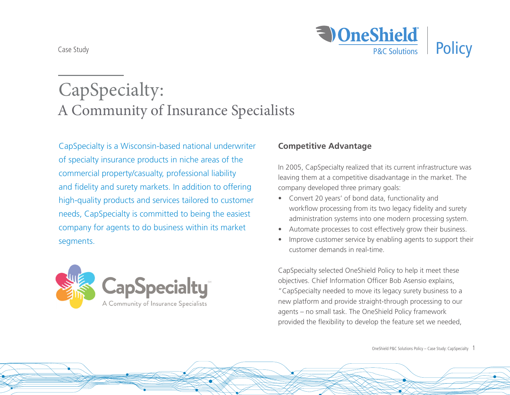

# CapSpecialty: A Community of Insurance Specialists

CapSpecialty is a Wisconsin-based national underwriter of specialty insurance products in niche areas of the commercial property/casualty, professional liability and fidelity and surety markets. In addition to offering high-quality products and services tailored to customer needs, CapSpecialty is committed to being the easiest company for agents to do business within its market segments.



## **Competitive Advantage**

In 2005, CapSpecialty realized that its current infrastructure was leaving them at a competitive disadvantage in the market. The company developed three primary goals:

- Convert 20 years' of bond data, functionality and workflow processing from its two legacy fidelity and surety administration systems into one modern processing system.
- Automate processes to cost effectively grow their business.
- Improve customer service by enabling agents to support their customer demands in real-time.

CapSpecialty selected OneShield Policy to help it meet these objectives. Chief Information Officer Bob Asensio explains, "CapSpecialty needed to move its legacy surety business to a new platform and provide straight-through processing to our agents – no small task. The OneShield Policy framework provided the flexibility to develop the feature set we needed,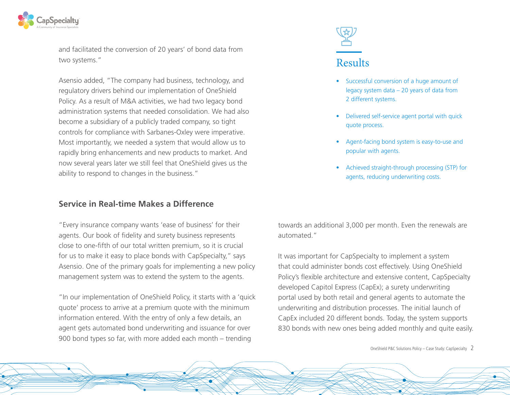

and facilitated the conversion of 20 years' of bond data from two systems."

Asensio added, "The company had business, technology, and regulatory drivers behind our implementation of OneShield Policy. As a result of M&A activities, we had two legacy bond administration systems that needed consolidation. We had also become a subsidiary of a publicly traded company, so tight controls for compliance with Sarbanes-Oxley were imperative. Most importantly, we needed a system that would allow us to rapidly bring enhancements and new products to market. And now several years later we still feel that OneShield gives us the ability to respond to changes in the business."

### **Service in Real-time Makes a Difference**

"Every insurance company wants 'ease of business' for their agents. Our book of fidelity and surety business represents close to one-fifth of our total written premium, so it is crucial for us to make it easy to place bonds with CapSpecialty," says Asensio. One of the primary goals for implementing a new policy management system was to extend the system to the agents.

"In our implementation of OneShield Policy, it starts with a 'quick quote' process to arrive at a premium quote with the minimum information entered. With the entry of only a few details, an agent gets automated bond underwriting and issuance for over 900 bond types so far, with more added each month – trending



- Successful conversion of a huge amount of legacy system data – 20 years of data from 2 different systems.
- Delivered self-service agent portal with quick quote process.
- Agent-facing bond system is easy-to-use and popular with agents.
- Achieved straight-through processing (STP) for agents, reducing underwriting costs.

towards an additional 3,000 per month. Even the renewals are automated."

It was important for CapSpecialty to implement a system that could administer bonds cost effectively. Using OneShield Policy's flexible architecture and extensive content, CapSpecialty developed Capitol Express (CapEx); a surety underwriting portal used by both retail and general agents to automate the underwriting and distribution processes. The initial launch of CapEx included 20 different bonds. Today, the system supports 830 bonds with new ones being added monthly and quite easily.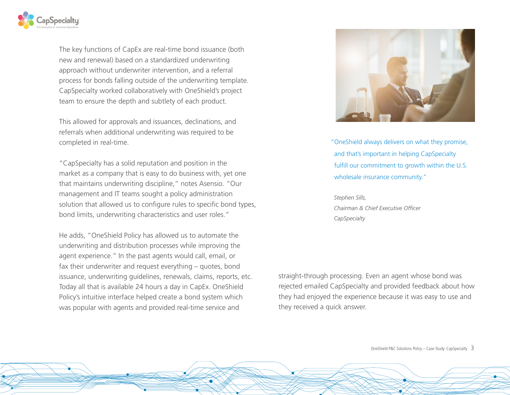

The key functions of CapEx are real-time bond issuance (both new and renewal) based on a standardized underwriting approach without underwriter intervention, and a referral process for bonds falling outside of the underwriting template. CapSpecialty worked collaboratively with OneShield's project team to ensure the depth and subtlety of each product.

This allowed for approvals and issuances, declinations, and referrals when additional underwriting was required to be completed in real-time.

"CapSpecialty has a solid reputation and position in the market as a company that is easy to do business with, yet one that maintains underwriting discipline," notes Asensio. "Our management and IT teams sought a policy administration solution that allowed us to configure rules to specific bond types, bond limits, underwriting characteristics and user roles."

He adds, "OneShield Policy has allowed us to automate the underwriting and distribution processes while improving the agent experience." In the past agents would call, email, or fax their underwriter and request everything – quotes, bond issuance, underwriting guidelines, renewals, claims, reports, etc. Today all that is available 24 hours a day in CapEx. OneShield Policy's intuitive interface helped create a bond system which was popular with agents and provided real-time service and



"OneShield always delivers on what they promise, and that's important in helping CapSpecialty fulfill our commitment to growth within the U.S. wholesale insurance community."

 *Stephen Sills, Chairman & Chief Executive Officer CapSpecialty*

straight-through processing. Even an agent whose bond was rejected emailed CapSpecialty and provided feedback about how they had enjoyed the experience because it was easy to use and they received a quick answer.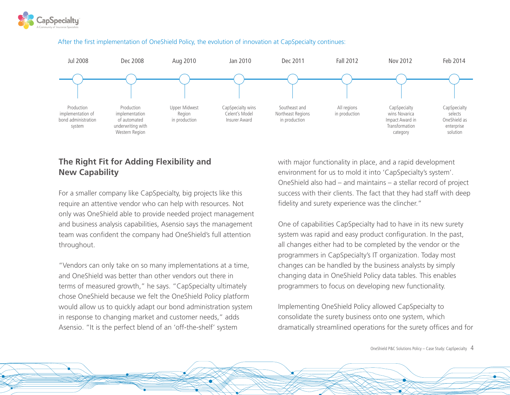



#### After the first implementation of OneShield Policy, the evolution of innovation at CapSpecialty continues:

## **The Right Fit for Adding Flexibility and New Capability**

For a smaller company like CapSpecialty, big projects like this require an attentive vendor who can help with resources. Not only was OneShield able to provide needed project management and business analysis capabilities, Asensio says the management team was confident the company had OneShield's full attention throughout.

"Vendors can only take on so many implementations at a time, and OneShield was better than other vendors out there in terms of measured growth," he says. "CapSpecialty ultimately chose OneShield because we felt the OneShield Policy platform would allow us to quickly adapt our bond administration system in response to changing market and customer needs," adds Asensio. "It is the perfect blend of an 'off-the-shelf' system

with major functionality in place, and a rapid development environment for us to mold it into 'CapSpecialty's system'. OneShield also had – and maintains – a stellar record of project success with their clients. The fact that they had staff with deep fidelity and surety experience was the clincher."

One of capabilities CapSpecialty had to have in its new surety system was rapid and easy product configuration. In the past, all changes either had to be completed by the vendor or the programmers in CapSpecialty's IT organization. Today most changes can be handled by the business analysts by simply changing data in OneShield Policy data tables. This enables programmers to focus on developing new functionality.

Implementing OneShield Policy allowed CapSpecialty to consolidate the surety business onto one system, which dramatically streamlined operations for the surety offices and for